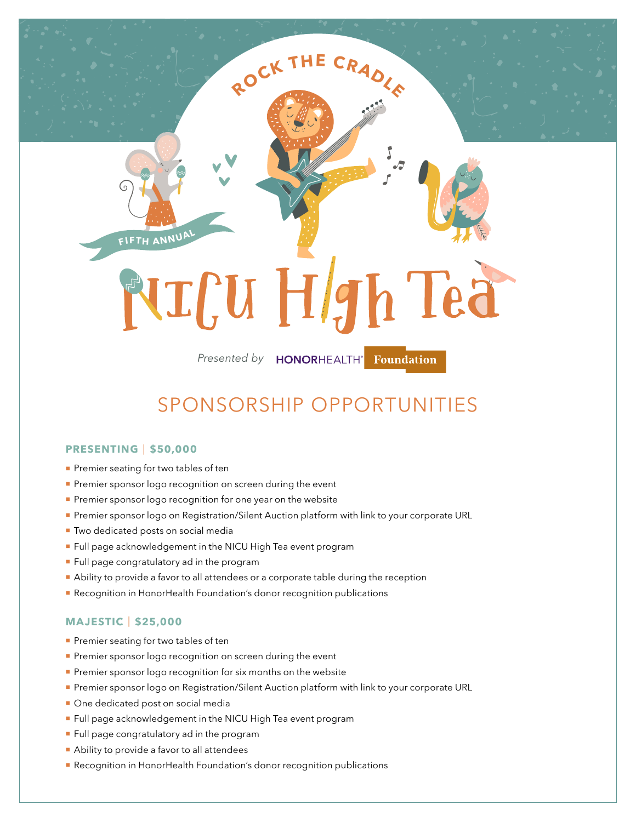# NTCU Hgh Tea

**<sup>R</sup>OC<sup>K</sup> <sup>T</sup>H<sup>E</sup> <sup>C</sup>RADLE**

*Presented by*

# SPONSORSHIP OPPORTUNITIES

# **PRESENTING** | **\$50,000**

Premier seating for two tables of ten

**<sup>F</sup>IFT<sup>H</sup> <sup>A</sup>NNUA<sup>L</sup>**

- Premier sponsor logo recognition on screen during the event
- Premier sponsor logo recognition for one year on the website
- **Premier sponsor logo on Registration/Silent Auction platform with link to your corporate URL**
- **Two dedicated posts on social media**
- **Full page acknowledgement in the NICU High Tea event program**
- **Full page congratulatory ad in the program**
- Ability to provide a favor to all attendees or a corporate table during the reception
- **Recognition in HonorHealth Foundation's donor recognition publications**

# **MAJESTIC** | **\$25,000**

- Premier seating for two tables of ten
- Premier sponsor logo recognition on screen during the event
- Premier sponsor logo recognition for six months on the website
- **Premier sponsor logo on Registration/Silent Auction platform with link to your corporate URL**
- One dedicated post on social media
- **Full page acknowledgement in the NICU High Tea event program**
- **Full page congratulatory ad in the program**
- Ability to provide a favor to all attendees
- Recognition in HonorHealth Foundation's donor recognition publications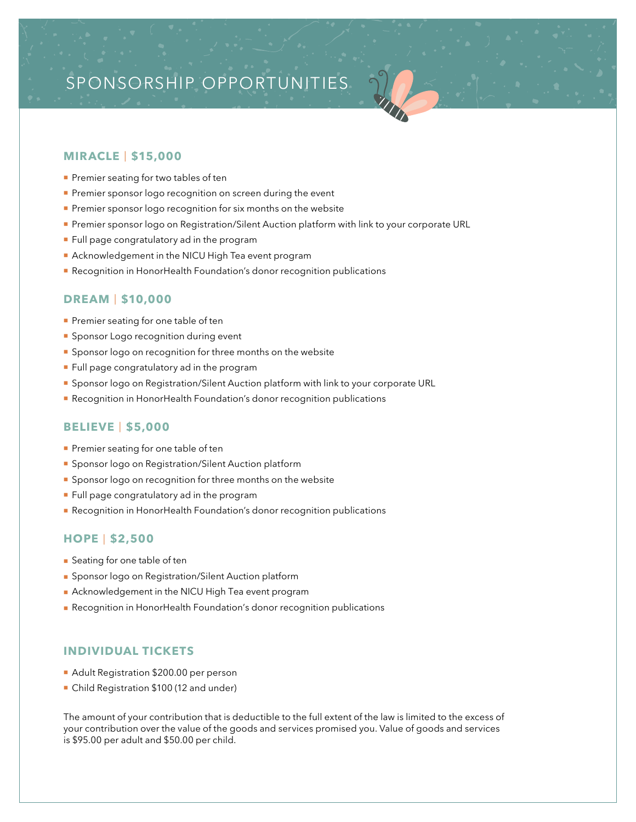# SPONSORSHIP OPPORTUNITIES

# **MIRACLE** | **\$15,000**

- Premier seating for two tables of ten
- Premier sponsor logo recognition on screen during the event
- Premier sponsor logo recognition for six months on the website
- **Premier sponsor logo on Registration/Silent Auction platform with link to your corporate URL**
- **Full page congratulatory ad in the program**
- Acknowledgement in the NICU High Tea event program
- **Recognition in HonorHealth Foundation's donor recognition publications**

## **DREAM** | **\$10,000**

- Premier seating for one table of ten
- **Sponsor Logo recognition during event**
- **Sponsor logo on recognition for three months on the website**
- **Full page congratulatory ad in the program**
- **Sponsor logo on Registration/Silent Auction platform with link to your corporate URL**
- **Recognition in HonorHealth Foundation's donor recognition publications**

# **BELIEVE** | **\$5,000**

- Premier seating for one table of ten
- **Sponsor logo on Registration/Silent Auction platform**
- **Sponsor logo on recognition for three months on the website**
- **Full page congratulatory ad in the program**
- **Recognition in HonorHealth Foundation's donor recognition publications**

# **HOPE** | **\$2,500**

- **Seating for one table of ten**
- **Sponsor logo on Registration/Silent Auction platform**
- **Acknowledgement in the NICU High Tea event program**
- **Recognition in HonorHealth Foundation's donor recognition publications**

# **INDIVIDUAL TICKETS**

- Adult Registration \$200.00 per person
- Child Registration \$100 (12 and under)

The amount of your contribution that is deductible to the full extent of the law is limited to the excess of your contribution over the value of the goods and services promised you. Value of goods and services is \$95.00 per adult and \$50.00 per child.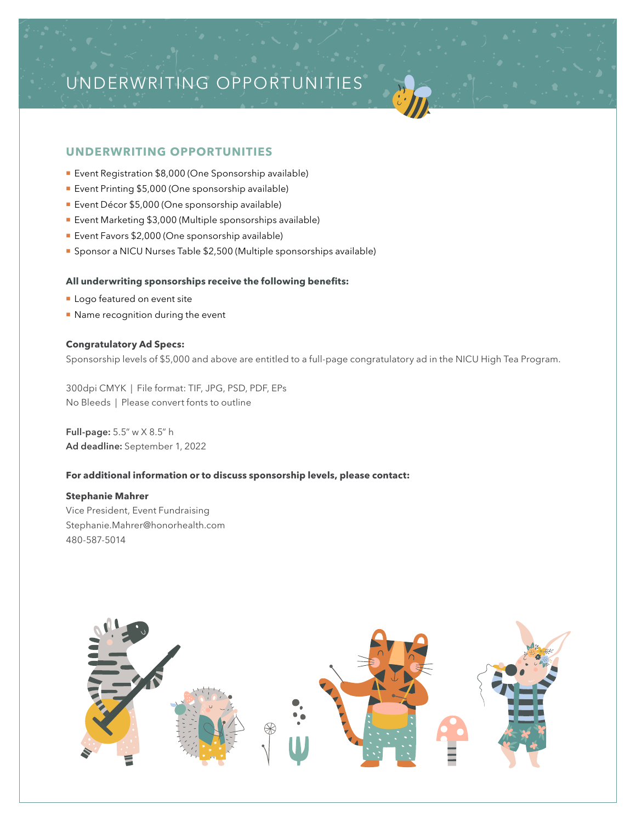# UNDERWRITING OPPORTUNITIES

# **UNDERWRITING OPPORTUNITIES**

- **Event Registration \$8,000 (One Sponsorship available)**
- **Event Printing \$5,000 (One sponsorship available)**
- **Event Décor \$5,000 (One sponsorship available)**
- Event Marketing \$3,000 (Multiple sponsorships available)
- **Event Favors \$2,000 (One sponsorship available)**
- Sponsor a NICU Nurses Table \$2,500 (Multiple sponsorships available)

## **All underwriting sponsorships receive the following benefits:**

- **Logo featured on event site**
- Name recognition during the event

### **Congratulatory Ad Specs:**

Sponsorship levels of \$5,000 and above are entitled to a full-page congratulatory ad in the NICU High Tea Program.

300dpi CMYK | File format: TIF, JPG, PSD, PDF, EPs No Bleeds | Please convert fonts to outline

**Full-page:** 5.5" w X 8.5" h **Ad deadline:** September 1, 2022

## **For additional information or to discuss sponsorship levels, please contact:**

## **Stephanie Mahrer**

Vice President, Event Fundraising Stephanie.Mahrer@honorhealth.com 480-587-5014